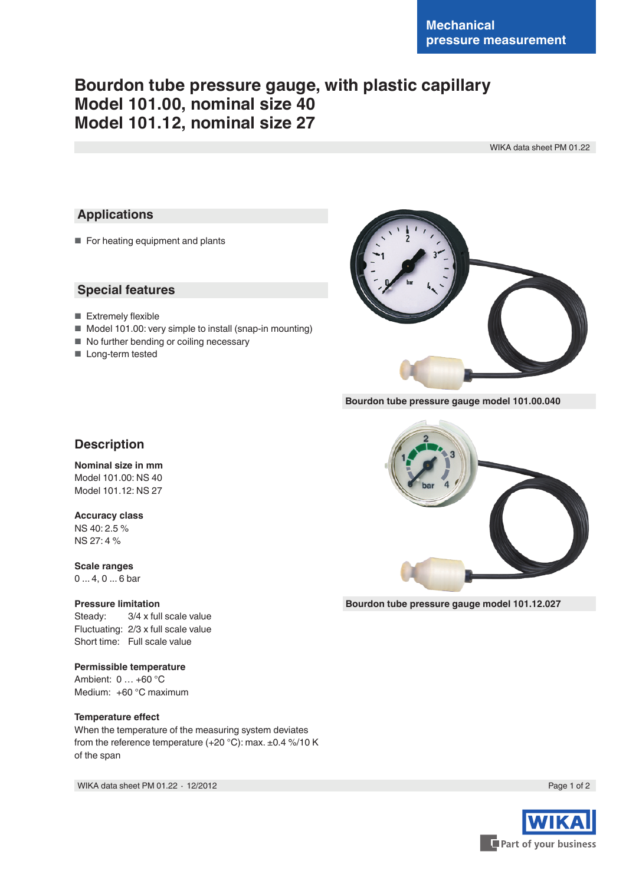# **Bourdon tube pressure gauge, with plastic capillary Model 101.00, nominal size 40 Model 101.12, nominal size 27**

WIKA data sheet PM 01.22

### **Applications**

■ For heating equipment and plants

### **Special features**

- Extremely flexible
- Model 101.00: very simple to install (snap-in mounting)
- No further bending or coiling necessary
- Long-term tested



**Bourdon tube pressure gauge model 101.00.040**



# **Nominal size in mm**

Model 101.00: NS 40 Model 101.12: NS 27

#### **Accuracy class**

NS 40: 2.5 % NS 27: 4 %

**Scale ranges** 0 ... 4, 0 ... 6 bar

#### **Pressure limitation**

Steady: 3/4 x full scale value Fluctuating: 2/3 x full scale value Short time: Full scale value

#### **Permissible temperature**

Ambient: 0 … +60 °C Medium: +60 °C maximum

#### **Temperature effect**

When the temperature of the measuring system deviates from the reference temperature (+20 °C): max. ±0.4 %/10 K of the span

WIKA data sheet PM 01.22 ⋅ 12/2012 Page 1 of 2



**Bourdon tube pressure gauge model 101.12.027**